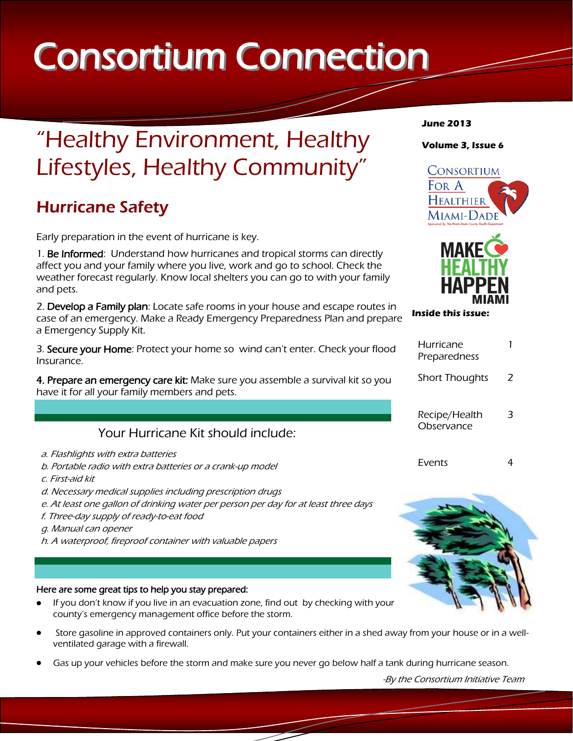# Consortium Connection

## "Healthy Environment, Healthy Lifestyles, Healthy Community"

## Hurricane Safety

Early preparation in the event of hurricane is key.

1. Be Informed: Understand how hurricanes and tropical storms can directly affect you and your family where you live, work and go to school. Check the weather forecast regularly. Know local shelters you can go to with your family and pets.

2. Develop a Family plan: Locate safe rooms in your house and escape routes in case of an emergency. Make a Ready Emergency Preparedness Plan and prepare a Emergency Supply Kit.

3. Secure your Home: Protect your home so wind can't enter. Check your flood Insurance.

4. Prepare an emergency care kit: Make sure you assemble a survival kit so you have it for all your family members and pets.

## Your Hurricane Kit should include:

- a. Flashlights with extra batteries
- b. Portable radio with extra batteries or a crank-up model
- c. First-aid kit
- d. Necessary medical supplies including prescription drugs
- e. At least one gallon of drinking water per person per day for at least three days
- f. Three-day supply of ready-to-eat food
- g. Manual can opener
- h. A waterproof, fireproof container with valuable papers

#### Here are some great tips to help you stay prepared:

- If you don't know if you live in an evacuation zone, find out by checking with your county's emergency management office before the storm.
- Store gasoline in approved containers only. Put your containers either in a shed away from your house or in a wellventilated garage with a firewall.
- Gas up your vehicles before the storm and make sure you never go below half a tank during hurricane season.

#### **June 2013**

## **Volume 3, Issue 6**





| Hurricane<br>Preparedness   |   |
|-----------------------------|---|
| <b>Short Thoughts</b>       | 2 |
| Recipe/Health<br>Observance |   |
| Fvents                      |   |

**Inside this issue:**



-By the Consortium Initiative Team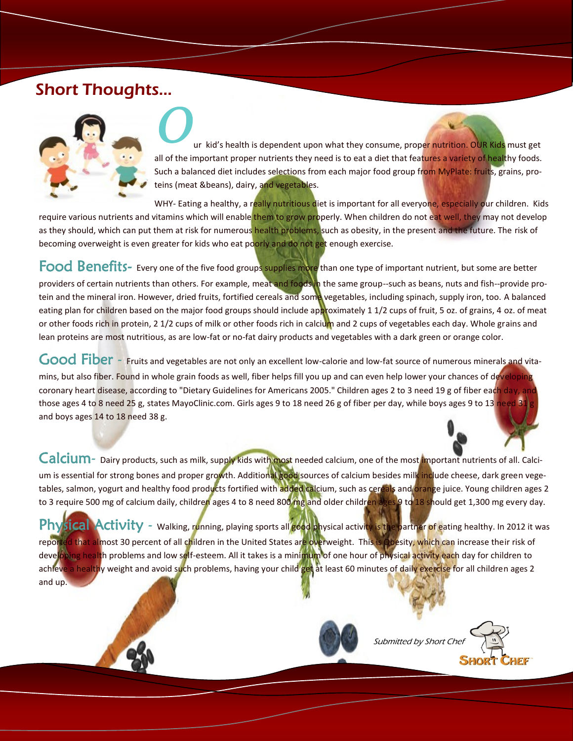## Short Thoughts…



ur kid's health is dependent upon what they consume, proper nutrition. OUR Kids must get all of the important proper nutrients they need is to eat a diet that features a variety of healthy foods. Such a balanced diet includes selections from each major food group from MyPlate: fruits, grains, proteins (meat &beans), dairy, and vegetables.

WHY- Eating a healthy, a really nutritious diet is important for all everyone, especially our children. Kids require various nutrients and vitamins which will enable them to grow properly. When children do not eat well, they may not develop as they should, which can put them at risk for numerous health problems, such as obesity, in the present and the future. The risk of becoming overweight is even greater for kids who eat poorly and do not get enough exercise.

Food Benefits- Every one of the five food groups supplies more than one type of important nutrient, but some are better providers of certain nutrients than others. For example, meat and foods in the same group--such as beans, nuts and fish--provide protein and the mineral iron. However, dried fruits, fortified cereals and some vegetables, including spinach, supply iron, too. A balanced eating plan for children based on the major food groups should include approximately 1 1/2 cups of fruit, 5 oz. of grains, 4 oz. of meat or other foods rich in protein, 2 1/2 cups of milk or other foods rich in calcium and 2 cups of vegetables each day. Whole grains and lean proteins are most nutritious, as are low-fat or no-fat dairy products and vegetables with a dark green or orange color.

Good Fiber - Fruits and vegetables are not only an excellent low-calorie and low-fat source of numerous minerals and vitamins, but also fiber. Found in whole grain foods as well, fiber helps fill you up and can even help lower your chances of developing coronary heart disease, according to "Dietary Guidelines for Americans 2005." Children ages 2 to 3 need 19 g of fiber each day, and those ages 4 to 8 need 25 g, states MayoClinic.com. Girls ages 9 to 18 need 26 g of fiber per day, while boys ages 9 to 13 need 31 and boys ages 14 to 18 need 38 g.

Calcium- Dairy products, such as milk, supply kids with most needed calcium, one of the most important nutrients of all. Calcium is essential for strong bones and proper growth. Additional good sources of calcium besides milk include cheese, dark green vegetables, salmon, yogurt and healthy food products fortified with added calcium, such as cereals and orange juice. Young children ages 2 to 3 require 500 mg of calcium daily, children ages 4 to 8 need 800 mg and older children ages 9 to 18 should get 1,300 mg every day.

Physical Activity - Walking, running, playing sports all good physical activity is the partner of eating healthy. In 2012 it was reported that almost 30 percent of all children in the United States are overweight. This is Obesity, which can increase their risk of developing health problems and low self-esteem. All it takes is a minimum of one hour of physical activity each day for children to achieve a healthy weight and avoid such problems, having your child get at least 60 minutes of daily exercise for all children ages 2 and up.



Submitted by Short Che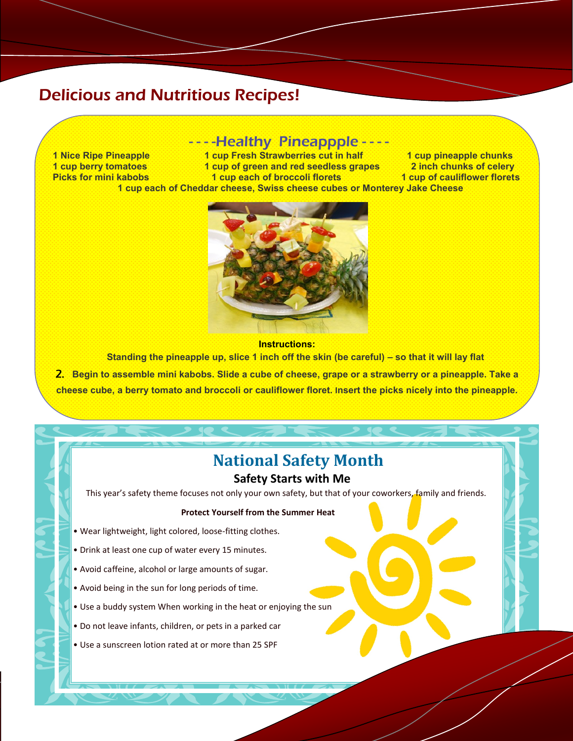## Delicious and Nutritious Recipes!

## ----Healthy Pineappple ----

**1 Nice Ripe Pineapple 1 and 1 cup Fresh Strawberries cut in half 1 and 1 cup pineapple chunks**<br> **1 and 1 and 1 cup of green and red seedless grapes** 1 and 1 and 1 cup berry tomatoes **1 cup berry tomatoes 1 cup of green and red seedless grapes<br>Picks for mini kabobs 1 cup each of broccoli florets Picks for mini kabobs 1 cup each of broccoli florets 1 cup of cauliflower florets 1 cup each of Cheddar cheese, Swiss cheese cubes or Monterey Jake Cheese**



#### **Instructions:**

**Standing the pineapple up, slice 1 inch off the skin (be careful) – so that it will lay flat**

2. **Begin to assemble mini kabobs. Slide a cube of cheese, grape or a strawberry or a pineapple. Take a cheese cube, a berry tomato and broccoli or cauliflower floret. Insert the picks nicely into the pineapple.**

## **National Safety Month**

### **Safety Starts with Me**

This year's safety theme focuses not only your own safety, but that of your coworkers, family and friends.

#### **Protect Yourself from the Summer Heat**

- Wear lightweight, light colored, loose-fitting clothes.
- Drink at least one cup of water every 15 minutes.
- Avoid caffeine, alcohol or large amounts of sugar.
- Avoid being in the sun for long periods of time.
- Use a buddy system When working in the heat or enjoying the sun
- Do not leave infants, children, or pets in a parked car
- Use a sunscreen lotion rated at or more than 25 SPF